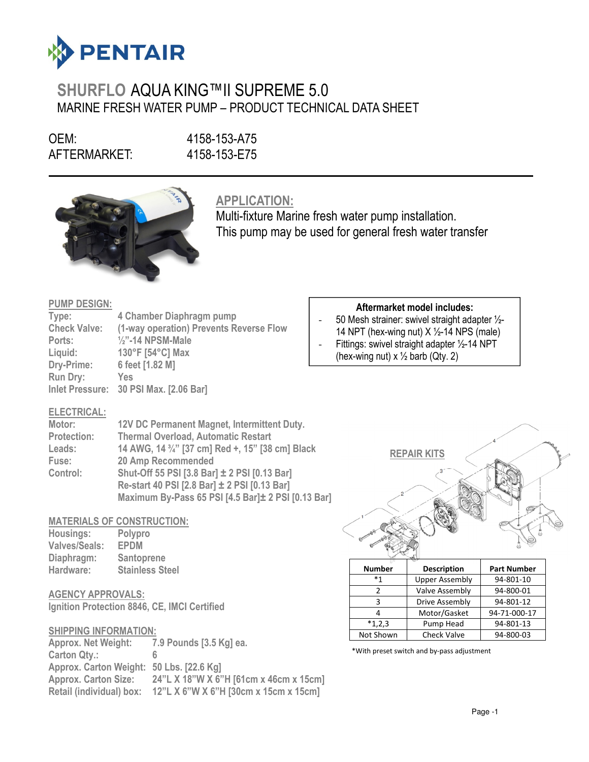

# SHURFLO AQUA KING™II SUPREME 5.0 MARINE FRESH WATER PUMP – PRODUCT TECHNICAL DATA SHEET

OEM: 4158-153-A75 AFTERMARKET: 4158-153-E75

 $\overline{a}$ 



APPLICATION:

Multi-fixture Marine fresh water pump installation. This pump may be used for general fresh water transfer

#### PUMP DESIGN:

| Type:               | 4 Chamber Diaphragm pump                |
|---------------------|-----------------------------------------|
| <b>Check Valve:</b> | (1-way operation) Prevents Reverse Flow |
| Ports:              | $\frac{1}{2}$ "-14 NPSM-Male            |
| Liquid:             | 130°F [54°C] Max                        |
| Dry-Prime:          | 6 feet [1.82 M]                         |
| <b>Run Dry:</b>     | Yes                                     |
|                     | Inlet Pressure: 30 PSI Max. [2.06 Bar]  |

### Aftermarket model includes:

- 50 Mesh strainer: swivel straight adapter ½- 14 NPT (hex-wing nut)  $X \frac{1}{2}$ -14 NPS (male)
- Fittings: swivel straight adapter 1/2-14 NPT
	- (hex-wing nut)  $x \frac{1}{2}$  barb (Qty. 2)

## ELECTRICAL:

| Motor:             | 12V DC Permanent Magnet, Intermittent Duty.                               |
|--------------------|---------------------------------------------------------------------------|
| <b>Protection:</b> | <b>Thermal Overload, Automatic Restart</b>                                |
| Leads:             | 14 AWG, 14 <sup>3</sup> / <sub>4</sub> " [37 cm] Red +, 15" [38 cm] Black |
| Fuse:              | 20 Amp Recommended                                                        |
| Control:           | Shut-Off 55 PSI [3.8 Bar] ± 2 PSI [0.13 Bar]                              |
|                    | Re-start 40 PSI [2.8 Bar] ± 2 PSI [0.13 Bar]                              |
|                    | Maximum By-Pass 65 PSI [4.5 Bar]± 2 PSI [0.13 Bar]                        |

## MATERIALS OF CONSTRUCTION:

| Housings:            | Polypro                |
|----------------------|------------------------|
| <b>Valves/Seals:</b> | <b>EPDM</b>            |
| Diaphragm:           | Santoprene             |
| Hardware:            | <b>Stainless Steel</b> |

## AGENCY APPROVALS:

Ignition Protection 8846, CE, IMCI Certified

#### SHIPPING INFORMATION:

Approx. Net Weight: 7.9 Pounds [3.5 Kg] ea. Carton Qty.: Approx. Carton Weight: 50 Lbs. [22.6 Kg] Approx. Carton Size: 24"L X 18"W X 6"H [61cm x 46cm x 15cm] Retail (individual) box: 12"L X 6"W X 6"H [30cm x 15cm x 15cm]



| ⊪⊻            |                       |                    |
|---------------|-----------------------|--------------------|
| <b>Number</b> | <b>Description</b>    | <b>Part Number</b> |
| $*1$          | <b>Upper Assembly</b> | 94-801-10          |
|               | Valve Assembly        | 94-800-01          |
| ς             | Drive Assembly        | 94-801-12          |
|               | Motor/Gasket          | 94-71-000-17       |
| $*1,2,3$      | Pump Head             | 94-801-13          |
| Not Shown     | <b>Check Valve</b>    | 94-800-03          |

\*With preset switch and by-pass adjustment